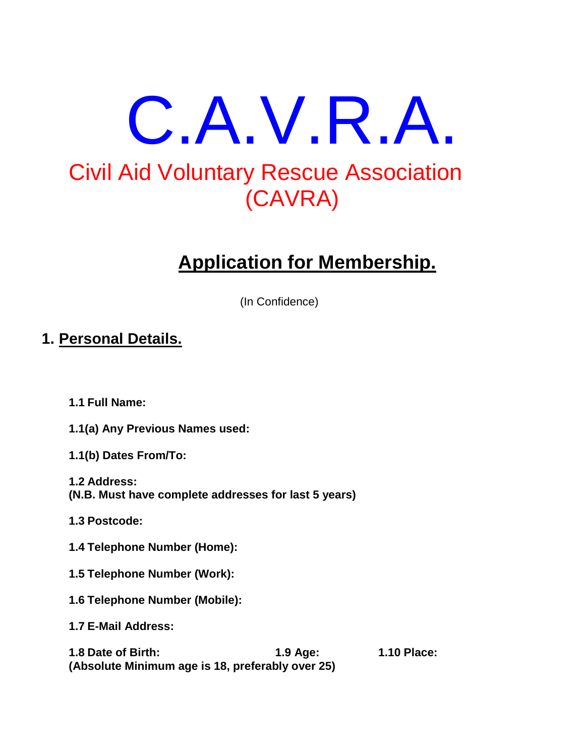# C.A.V.R.A. Civil Aid Voluntary Rescue Association (CAVRA)

# **Application for Membership.**

(In Confidence)

# **1. Personal Details.**

- **1.1 Full Name:**
- **1.1(a) Any Previous Names used:**
- **1.1(b) Dates From/To:**
- **1.2 Address: (N.B. Must have complete addresses for last 5 years)**
- **1.3 Postcode:**
- **1.4 Telephone Number (Home):**
- **1.5 Telephone Number (Work):**
- **1.6 Telephone Number (Mobile):**
- **1.7 E-Mail Address:**

**1.8 Date of Birth: 1.9 Age: 1.10 Place: (Absolute Minimum age is 18, preferably over 25)**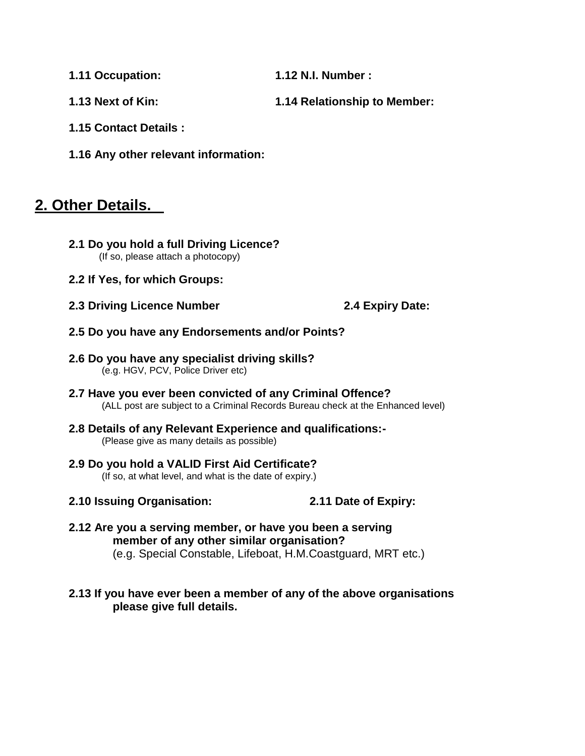**1.11 Occupation: 1.12 N.I. Number :**

- **1.13 Next of Kin: 1.14 Relationship to Member:**
- **1.15 Contact Details :**
- **1.16 Any other relevant information:**

# **2. Other Details.**

- **2.1 Do you hold a full Driving Licence?** (If so, please attach a photocopy)
- **2.2 If Yes, for which Groups:**
- **2.3 Driving Licence Number 2.4 Expiry Date:**

- **2.5 Do you have any Endorsements and/or Points?**
- **2.6 Do you have any specialist driving skills?** (e.g. HGV, PCV, Police Driver etc)
- **2.7 Have you ever been convicted of any Criminal Offence?** (ALL post are subject to a Criminal Records Bureau check at the Enhanced level)
- **2.8 Details of any Relevant Experience and qualifications:-** (Please give as many details as possible)
- **2.9 Do you hold a VALID First Aid Certificate?** (If so, at what level, and what is the date of expiry.)
- **2.10 Issuing Organisation: 2.11 Date of Expiry:**
- **2.12 Are you a serving member, or have you been a serving member of any other similar organisation?** (e.g. Special Constable, Lifeboat, H.M.Coastguard, MRT etc.)

#### **2.13 If you have ever been a member of any of the above organisations please give full details.**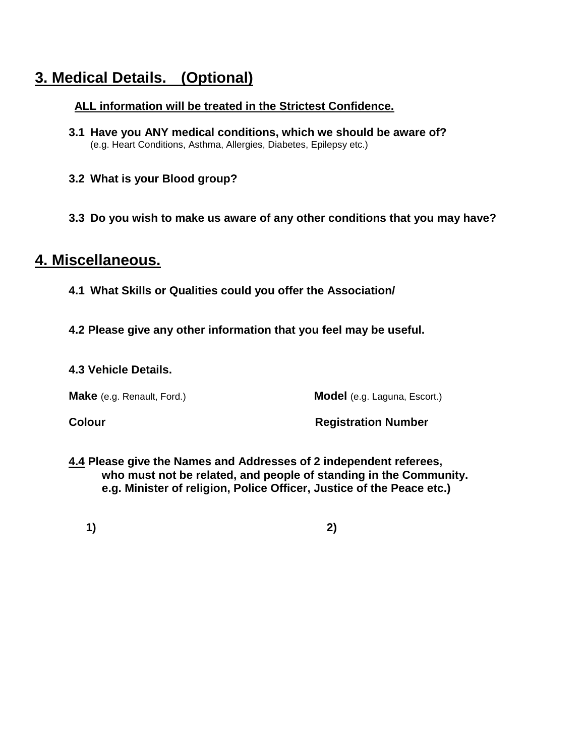# **3. Medical Details. (Optional)**

### **ALL information will be treated in the Strictest Confidence.**

- **3.1 Have you ANY medical conditions, which we should be aware of?** (e.g. Heart Conditions, Asthma, Allergies, Diabetes, Epilepsy etc.)
- **3.2 What is your Blood group?**
- **3.3 Do you wish to make us aware of any other conditions that you may have?**

## **4. Miscellaneous.**

- **4.1 What Skills or Qualities could you offer the Association/**
- **4.2 Please give any other information that you feel may be useful.**

#### **4.3 Vehicle Details.**

**Make** (e.g. Renault, Ford.) **Model** (e.g. Laguna, Escort.)

**Colour Colour Colour Colour Registration Number** 

**4.4 Please give the Names and Addresses of 2 independent referees, who must not be related, and people of standing in the Community. e.g. Minister of religion, Police Officer, Justice of the Peace etc.)**

**1) 2)**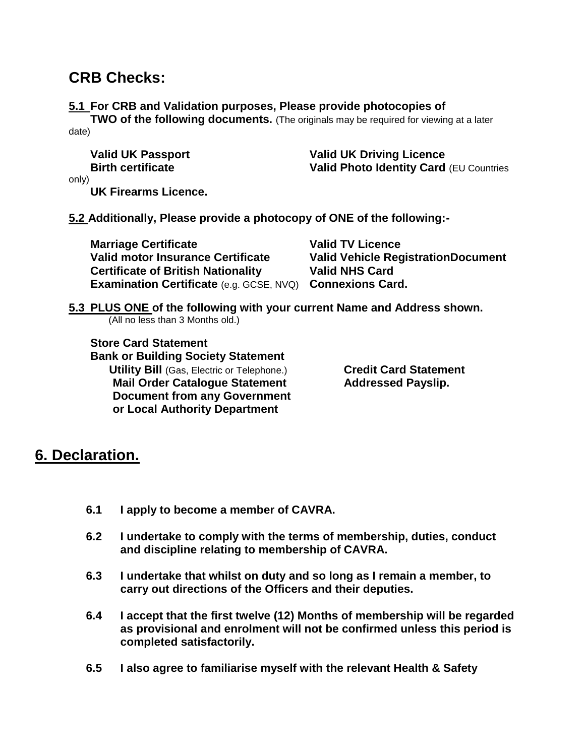# **CRB Checks:**

#### **5.1 For CRB and Validation purposes, Please provide photocopies of**

**TWO of the following documents.** (The originals may be required for viewing at a later date)

**Valid UK Passport Valid UK Driving Licence Birth certificate Valid Photo Identity Card** *(EU Countries* 

only)

**UK Firearms Licence.**

**5.2 Additionally, Please provide a photocopy of ONE of the following:-**

| <b>Marriage Certificate</b>                                      | <b>Valid TV Licence</b>                   |
|------------------------------------------------------------------|-------------------------------------------|
| Valid motor Insurance Certificate                                | <b>Valid Vehicle RegistrationDocument</b> |
| <b>Certificate of British Nationality</b>                        | <b>Valid NHS Card</b>                     |
| <b>Examination Certificate (e.g. GCSE, NVQ) Connexions Card.</b> |                                           |

#### **5.3 PLUS ONE of the following with your current Name and Address shown.** (All no less than 3 Months old.)

**Store Card Statement Bank or Building Society Statement Utility Bill** (Gas, Electric or Telephone.) **Credit Card Statement**

**Mail Order Catalogue Statement Mail Order Catalogue Statement Addressed Payslip. Document from any Government or Local Authority Department**

# **6. Declaration.**

- **6.1 I apply to become a member of CAVRA.**
- **6.2 I undertake to comply with the terms of membership, duties, conduct and discipline relating to membership of CAVRA.**
- **6.3 I undertake that whilst on duty and so long as I remain a member, to carry out directions of the Officers and their deputies.**
- **6.4 I accept that the first twelve (12) Months of membership will be regarded as provisional and enrolment will not be confirmed unless this period is completed satisfactorily.**
- **6.5 I also agree to familiarise myself with the relevant Health & Safety**